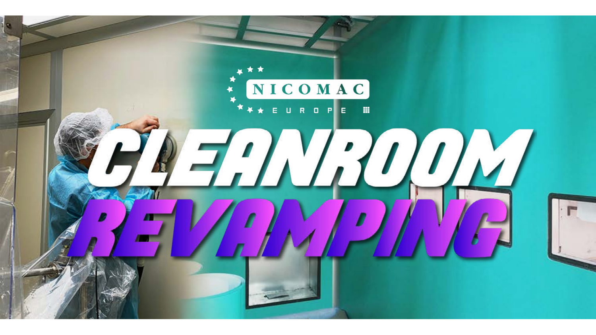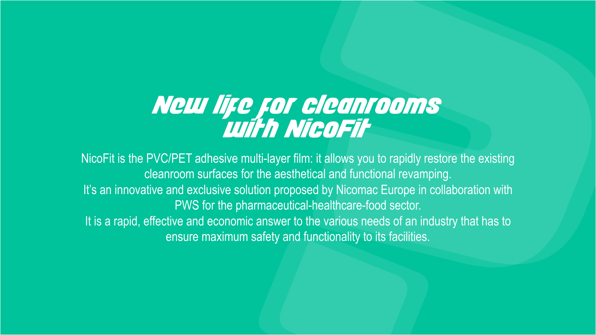## New life for cleanrooms with NicoFit

NicoFit is the PVC/PET adhesive multi-layer film: it allows you to rapidly restore the existing cleanroom surfaces for the aesthetical and functional revamping. It's an innovative and exclusive solution proposed by Nicomac Europe in collaboration with PWS for the pharmaceutical-healthcare-food sector. It is a rapid, effective and economic answer to the various needs of an industry that has to ensure maximum safety and functionality to its facilities.



- 
-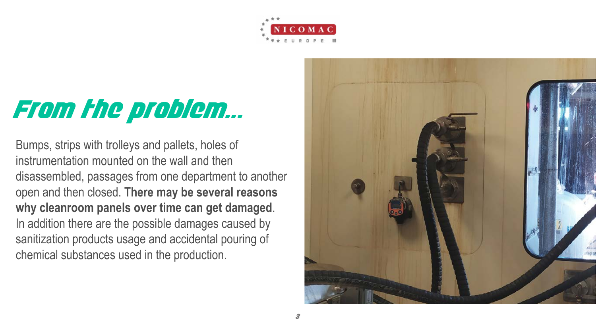

# From the problem...

Bumps, strips with trolleys and pallets, holes of instrumentation mounted on the wall and then disassembled, passages from one department to another open and then closed. **There may be several reasons why cleanroom panels over time can get damaged**. In addition there are the possible damages caused by sanitization products usage and accidental pouring of chemical substances used in the production.

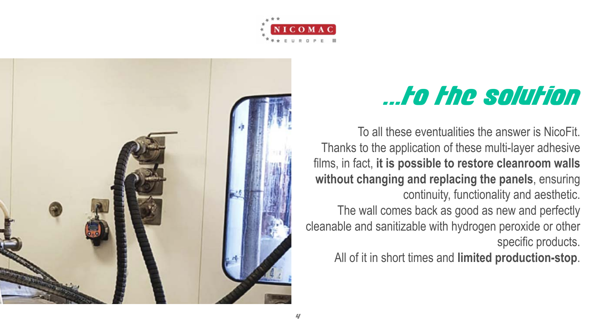# ...to the solution





To all these eventualities the answer is NicoFit. Thanks to the application of these multi-layer adhesive **without changing and replacing the panels**, ensuring continuity, functionality and aesthetic. The wall comes back as good as new and perfectly specific products.

films, in fact, **it is possible to restore cleanroom walls**  cleanable and sanitizable with hydrogen peroxide or other

All of it in short times and **limited production-stop**.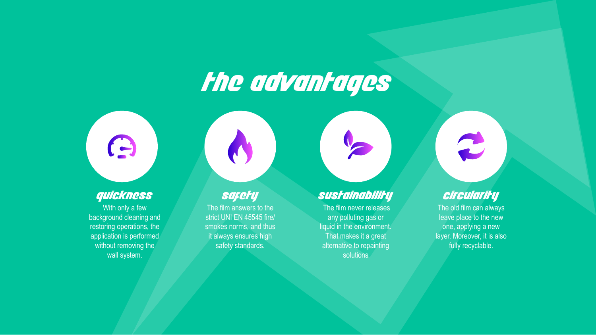# the advantages



#### quickness

 The film never releases any polluting gas or liquid in the environment. That makes it a great alternative to repainting **solutions** 



R

With only a few background cleaning and restoring operations, the application is performed without removing the wall system.

O

The film answers to the strict UNI EN 45545 fire/ smokes norms, and thus it always ensures high safety standards.

The old film can always leave place to the new one, applying a new layer. Moreover, it is also fully recyclable.

#### safety sustainability circularity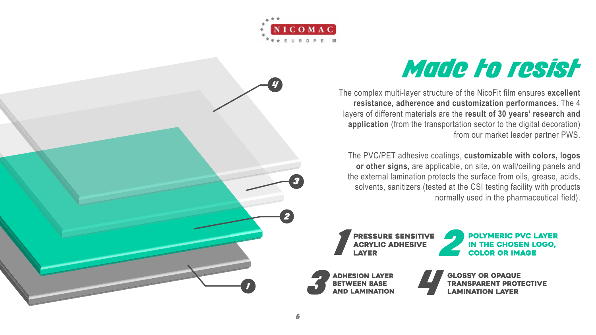### Made to resist

The complex multi-layer structure of the NicoFit film ensures **excellent resistance, adherence and customization performances**. The 4 layers of different materials are the **result of 30 years' research and application** (from the transportation sector to the digital decoration) from our market leader partner PWS.

The PVC/PET adhesive coatings, **customizable with colors, logos or other signs,** are applicable, on site, on wall/ceiling panels and the external lamination protects the surface from oils, grease, acids, solvents, sanitizers (tested at the CSI testing facility with products normally used in the pharmaceutical field).

**LAYER** 





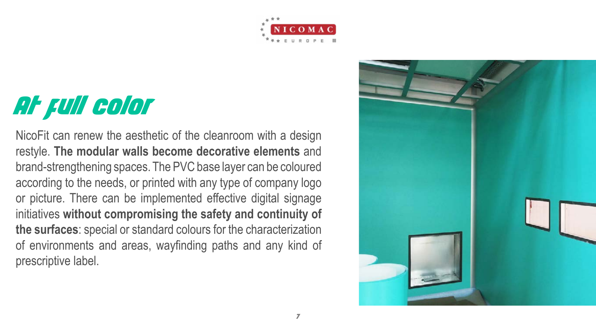







NicoFit can renew the aesthetic of the cleanroom with a design restyle. **The modular walls become decorative elements** and brand-strengthening spaces. The PVC base layer can be coloured according to the needs, or printed with any type of company logo or picture. There can be implemented effective digital signage initiatives **without compromising the safety and continuity of the surfaces**: special or standard colours for the characterization of environments and areas, wayfinding paths and any kind of prescriptive label.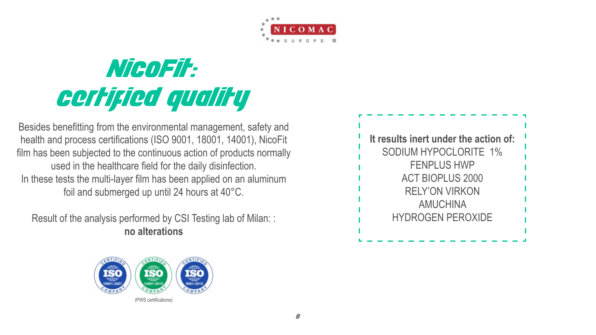

8

# NicoFit: certified quality

Besides benefitting from the environmental management, safety and health and process certifications (ISO 9001, 18001, 14001), NicoFit film has been subjected to the continuous action of products normally used in the healthcare field for the daily disinfection. In these tests the multi-layer film has been applied on an aluminum foil and submerged up until 24 hours at 40°C.

Result of the analysis performed by CSI Testing lab of Milan: : **no alterations**



### **It results inert under the action of:** SODIUM HYPOCLORITE 1% FENPLUS HWP ACT BIOPLUS 2000 RELY'ON VIRKON AMUCHINA HYDROGEN PEROXIDE

(PWS certifications)